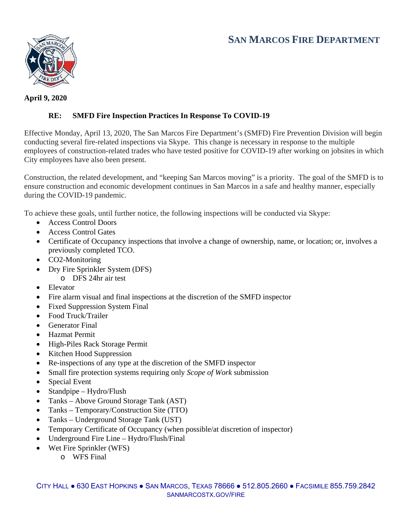## **SAN MARCOS FIRE DEPARTMENT**



**April 9, 2020** 

#### **RE: SMFD Fire Inspection Practices In Response To COVID-19**

Effective Monday, April 13, 2020, The San Marcos Fire Department's (SMFD) Fire Prevention Division will begin conducting several fire-related inspections via Skype. This change is necessary in response to the multiple employees of construction-related trades who have tested positive for COVID-19 after working on jobsites in which City employees have also been present.

Construction, the related development, and "keeping San Marcos moving" is a priority. The goal of the SMFD is to ensure construction and economic development continues in San Marcos in a safe and healthy manner, especially during the COVID-19 pandemic.

To achieve these goals, until further notice, the following inspections will be conducted via Skype:

- Access Control Doors
- Access Control Gates
- Certificate of Occupancy inspections that involve a change of ownership, name, or location; or, involves a previously completed TCO.
- CO2-Monitoring
- Dry Fire Sprinkler System (DFS)
	- o DFS 24hr air test
- Elevator
- Fire alarm visual and final inspections at the discretion of the SMFD inspector
- Fixed Suppression System Final
- Food Truck/Trailer
- Generator Final
- Hazmat Permit
- High-Piles Rack Storage Permit
- Kitchen Hood Suppression
- Re-inspections of any type at the discretion of the SMFD inspector
- Small fire protection systems requiring only *Scope of Work* submission
- Special Event
- Standpipe Hydro/Flush
- Tanks Above Ground Storage Tank (AST)
- Tanks Temporary/Construction Site (TTO)
- Tanks Underground Storage Tank (UST)
- Temporary Certificate of Occupancy (when possible/at discretion of inspector)
- Underground Fire Line Hydro/Flush/Final
- Wet Fire Sprinkler (WFS)
	- o WFS Final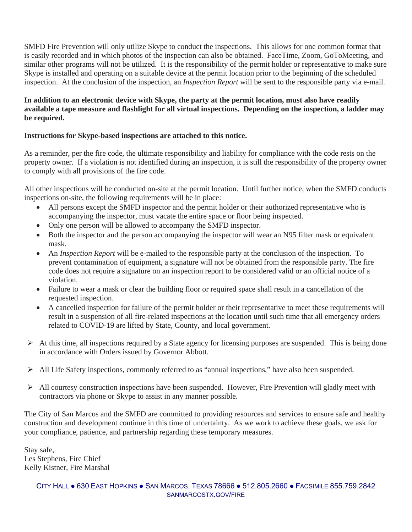SMFD Fire Prevention will only utilize Skype to conduct the inspections. This allows for one common format that is easily recorded and in which photos of the inspection can also be obtained. FaceTime, Zoom, GoToMeeting, and similar other programs will not be utilized. It is the responsibility of the permit holder or representative to make sure Skype is installed and operating on a suitable device at the permit location prior to the beginning of the scheduled inspection. At the conclusion of the inspection, an *Inspection Report* will be sent to the responsible party via e-mail.

#### **In addition to an electronic device with Skype, the party at the permit location, must also have readily available a tape measure and flashlight for all virtual inspections. Depending on the inspection, a ladder may be required.**

#### **Instructions for Skype-based inspections are attached to this notice.**

As a reminder, per the fire code, the ultimate responsibility and liability for compliance with the code rests on the property owner. If a violation is not identified during an inspection, it is still the responsibility of the property owner to comply with all provisions of the fire code.

All other inspections will be conducted on-site at the permit location. Until further notice, when the SMFD conducts inspections on-site, the following requirements will be in place:

- All persons except the SMFD inspector and the permit holder or their authorized representative who is accompanying the inspector, must vacate the entire space or floor being inspected.
- Only one person will be allowed to accompany the SMFD inspector.
- Both the inspector and the person accompanying the inspector will wear an N95 filter mask or equivalent mask.
- An *Inspection Report* will be e-mailed to the responsible party at the conclusion of the inspection. To prevent contamination of equipment, a signature will not be obtained from the responsible party. The fire code does not require a signature on an inspection report to be considered valid or an official notice of a violation.
- Failure to wear a mask or clear the building floor or required space shall result in a cancellation of the requested inspection.
- A cancelled inspection for failure of the permit holder or their representative to meet these requirements will result in a suspension of all fire-related inspections at the location until such time that all emergency orders related to COVID-19 are lifted by State, County, and local government.
- $\triangleright$  At this time, all inspections required by a State agency for licensing purposes are suspended. This is being done in accordance with Orders issued by Governor Abbott.
- $\triangleright$  All Life Safety inspections, commonly referred to as "annual inspections," have also been suspended.
- $\triangleright$  All courtesy construction inspections have been suspended. However, Fire Prevention will gladly meet with contractors via phone or Skype to assist in any manner possible.

The City of San Marcos and the SMFD are committed to providing resources and services to ensure safe and healthy construction and development continue in this time of uncertainty. As we work to achieve these goals, we ask for your compliance, patience, and partnership regarding these temporary measures.

Stay safe, Les Stephens, Fire Chief Kelly Kistner, Fire Marshal

#### CITY HALL ● 630 EAST HOPKINS ● SAN MARCOS, TEXAS 78666 ● 512.805.2660 ● FACSIMILE 855.759.2842 SANMARCOSTX.GOV/FIRE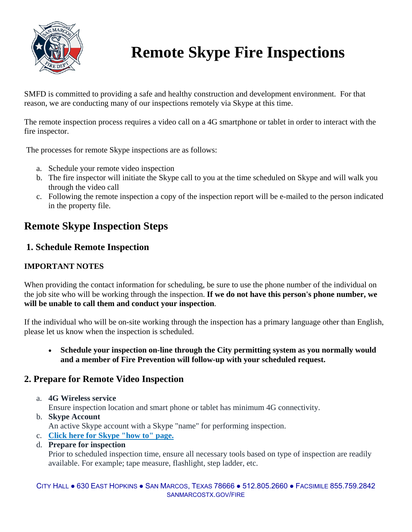

# **Remote Skype Fire Inspections**

SMFD is committed to providing a safe and healthy construction and development environment. For that reason, we are conducting many of our inspections remotely via Skype at this time.

The remote inspection process requires a video call on a 4G smartphone or tablet in order to interact with the fire inspector.

The processes for remote Skype inspections are as follows:

- a. Schedule your remote video inspection
- b. The fire inspector will initiate the Skype call to you at the time scheduled on Skype and will walk you through the video call
- c. Following the remote inspection a copy of the inspection report will be e-mailed to the person indicated in the property file.

# **Remote Skype Inspection Steps**

## **1. Schedule Remote Inspection**

## **IMPORTANT NOTES**

When providing the contact information for scheduling, be sure to use the phone number of the individual on the job site who will be working through the inspection. **If we do not have this person's phone number, we will be unable to call them and conduct your inspection**.

If the individual who will be on-site working through the inspection has a primary language other than English, please let us know when the inspection is scheduled.

 **Schedule your inspection on-line through the City permitting system as you normally would and a member of Fire Prevention will follow-up with your scheduled request.**

## **2. Prepare for Remote Video Inspection**

- a. **4G Wireless service**  Ensure inspection location and smart phone or tablet has minimum 4G connectivity. b. **Skype Account**
- An active Skype account with a Skype "name" for performing inspection.
- c. **Click here for Skype "how to" page.**
- d. **Prepare for inspection**

Prior to scheduled inspection time, ensure all necessary tools based on type of inspection are readily available. For example; tape measure, flashlight, step ladder, etc.

#### CITY HALL ● 630 EAST HOPKINS ● SAN MARCOS, TEXAS 78666 ● 512.805.2660 ● FACSIMILE 855.759.2842 SANMARCOSTX.GOV/FIRE